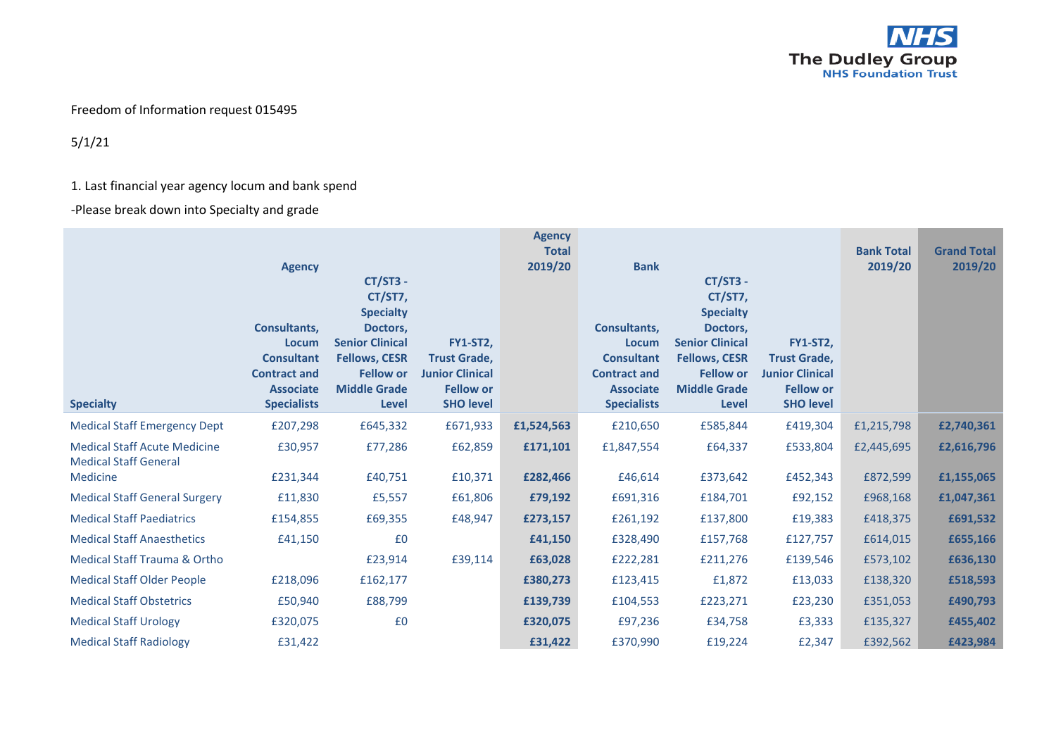

## Freedom of Information request 015495

5/1/21

## 1. Last financial year agency locum and bank spend

-Please break down into Specialty and grade

| <b>Specialty</b>                                                    | <b>Agency</b><br>Consultants,<br><b>Locum</b><br><b>Consultant</b><br><b>Contract and</b><br><b>Associate</b><br><b>Specialists</b> | $CT/ST3 -$<br>CT/ST7,<br><b>Specialty</b><br>Doctors,<br><b>Senior Clinical</b><br><b>Fellows, CESR</b><br><b>Fellow or</b><br><b>Middle Grade</b><br>Level | <b>FY1-ST2,</b><br><b>Trust Grade,</b><br><b>Junior Clinical</b><br><b>Fellow or</b><br><b>SHO level</b> | <b>Agency</b><br><b>Total</b><br>2019/20 | <b>Bank</b><br>Consultants,<br><b>Locum</b><br><b>Consultant</b><br><b>Contract and</b><br><b>Associate</b><br><b>Specialists</b> | <b>CT/ST3 -</b><br>CT/ST7,<br><b>Specialty</b><br>Doctors,<br><b>Senior Clinical</b><br><b>Fellows, CESR</b><br><b>Fellow or</b><br><b>Middle Grade</b><br>Level | <b>FY1-ST2,</b><br><b>Trust Grade,</b><br><b>Junior Clinical</b><br><b>Fellow or</b><br><b>SHO level</b> | <b>Bank Total</b><br>2019/20 | <b>Grand Total</b><br>2019/20 |
|---------------------------------------------------------------------|-------------------------------------------------------------------------------------------------------------------------------------|-------------------------------------------------------------------------------------------------------------------------------------------------------------|----------------------------------------------------------------------------------------------------------|------------------------------------------|-----------------------------------------------------------------------------------------------------------------------------------|------------------------------------------------------------------------------------------------------------------------------------------------------------------|----------------------------------------------------------------------------------------------------------|------------------------------|-------------------------------|
| <b>Medical Staff Emergency Dept</b>                                 | £207,298                                                                                                                            | £645,332                                                                                                                                                    | £671,933                                                                                                 | £1,524,563                               | £210,650                                                                                                                          | £585,844                                                                                                                                                         | £419,304                                                                                                 | £1,215,798                   | £2,740,361                    |
| <b>Medical Staff Acute Medicine</b><br><b>Medical Staff General</b> | £30,957                                                                                                                             | £77,286                                                                                                                                                     | £62,859                                                                                                  | £171,101                                 | £1,847,554                                                                                                                        | £64,337                                                                                                                                                          | £533,804                                                                                                 | £2,445,695                   | £2,616,796                    |
| Medicine                                                            | £231,344                                                                                                                            | £40,751                                                                                                                                                     | £10,371                                                                                                  | £282,466                                 | £46,614                                                                                                                           | £373,642                                                                                                                                                         | £452,343                                                                                                 | £872,599                     | £1,155,065                    |
| <b>Medical Staff General Surgery</b>                                | £11,830                                                                                                                             | £5,557                                                                                                                                                      | £61,806                                                                                                  | £79,192                                  | £691,316                                                                                                                          | £184,701                                                                                                                                                         | £92,152                                                                                                  | £968,168                     | £1,047,361                    |
| <b>Medical Staff Paediatrics</b>                                    | £154,855                                                                                                                            | £69,355                                                                                                                                                     | £48,947                                                                                                  | £273,157                                 | £261,192                                                                                                                          | £137,800                                                                                                                                                         | £19,383                                                                                                  | £418,375                     | £691,532                      |
| <b>Medical Staff Anaesthetics</b>                                   | £41,150                                                                                                                             | £0                                                                                                                                                          |                                                                                                          | £41,150                                  | £328,490                                                                                                                          | £157,768                                                                                                                                                         | £127,757                                                                                                 | £614,015                     | £655,166                      |
| Medical Staff Trauma & Ortho                                        |                                                                                                                                     | £23,914                                                                                                                                                     | £39,114                                                                                                  | £63,028                                  | £222,281                                                                                                                          | £211,276                                                                                                                                                         | £139,546                                                                                                 | £573,102                     | £636,130                      |
| <b>Medical Staff Older People</b>                                   | £218,096                                                                                                                            | £162,177                                                                                                                                                    |                                                                                                          | £380,273                                 | £123,415                                                                                                                          | £1,872                                                                                                                                                           | £13,033                                                                                                  | £138,320                     | £518,593                      |
| <b>Medical Staff Obstetrics</b>                                     | £50,940                                                                                                                             | £88,799                                                                                                                                                     |                                                                                                          | £139,739                                 | £104,553                                                                                                                          | £223,271                                                                                                                                                         | £23,230                                                                                                  | £351,053                     | £490,793                      |
| <b>Medical Staff Urology</b>                                        | £320,075                                                                                                                            | £0                                                                                                                                                          |                                                                                                          | £320,075                                 | £97,236                                                                                                                           | £34,758                                                                                                                                                          | £3,333                                                                                                   | £135,327                     | £455,402                      |
| <b>Medical Staff Radiology</b>                                      | £31,422                                                                                                                             |                                                                                                                                                             |                                                                                                          | £31,422                                  | £370,990                                                                                                                          | £19,224                                                                                                                                                          | £2,347                                                                                                   | £392,562                     | £423,984                      |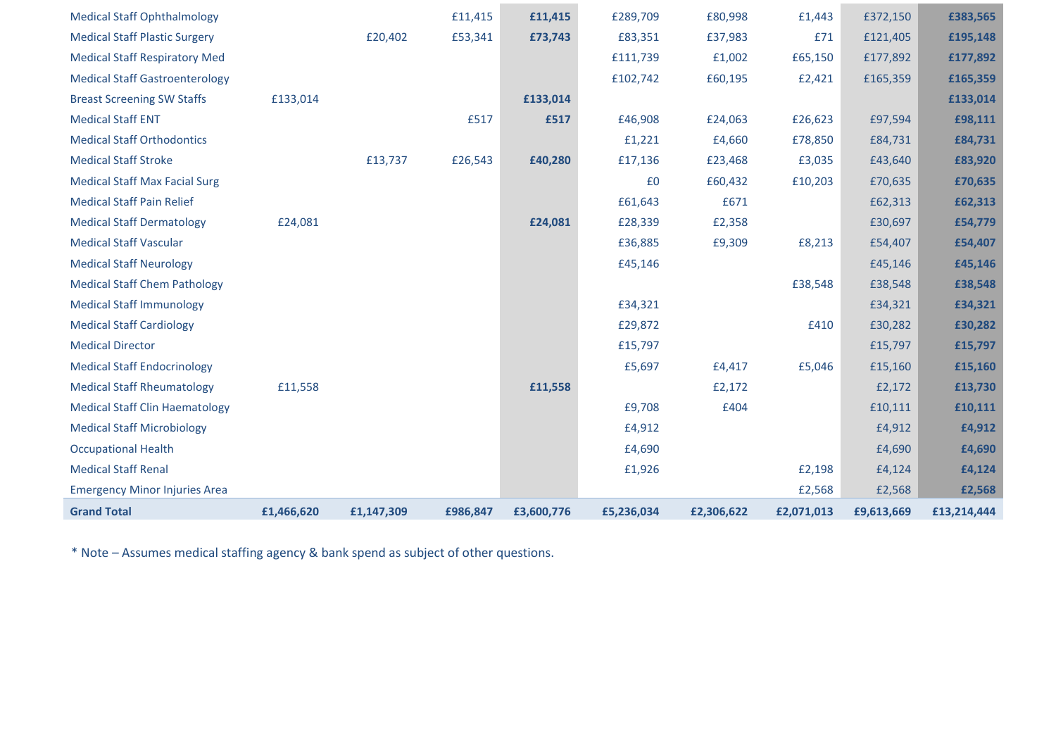| <b>Medical Staff Ophthalmology</b>    |            |            | £11,415  | £11,415    | £289,709   | £80,998    | £1,443     | £372,150   | £383,565    |
|---------------------------------------|------------|------------|----------|------------|------------|------------|------------|------------|-------------|
| <b>Medical Staff Plastic Surgery</b>  |            | £20,402    | £53,341  | £73,743    | £83,351    | £37,983    | £71        | £121,405   | £195,148    |
| <b>Medical Staff Respiratory Med</b>  |            |            |          |            | £111,739   | £1,002     | £65,150    | £177,892   | £177,892    |
| <b>Medical Staff Gastroenterology</b> |            |            |          |            | £102,742   | £60,195    | £2,421     | £165,359   | £165,359    |
| <b>Breast Screening SW Staffs</b>     | £133,014   |            |          | £133,014   |            |            |            |            | £133,014    |
| <b>Medical Staff ENT</b>              |            |            | £517     | £517       | £46,908    | £24,063    | £26,623    | £97,594    | £98,111     |
| <b>Medical Staff Orthodontics</b>     |            |            |          |            | £1,221     | £4,660     | £78,850    | £84,731    | £84,731     |
| <b>Medical Staff Stroke</b>           |            | £13,737    | £26,543  | £40,280    | £17,136    | £23,468    | £3,035     | £43,640    | £83,920     |
| <b>Medical Staff Max Facial Surg</b>  |            |            |          |            | £0         | £60,432    | £10,203    | £70,635    | £70,635     |
| <b>Medical Staff Pain Relief</b>      |            |            |          |            | £61,643    | £671       |            | £62,313    | £62,313     |
| <b>Medical Staff Dermatology</b>      | £24,081    |            |          | £24,081    | £28,339    | £2,358     |            | £30,697    | £54,779     |
| <b>Medical Staff Vascular</b>         |            |            |          |            | £36,885    | £9,309     | £8,213     | £54,407    | £54,407     |
| <b>Medical Staff Neurology</b>        |            |            |          |            | £45,146    |            |            | £45,146    | £45,146     |
| <b>Medical Staff Chem Pathology</b>   |            |            |          |            |            |            | £38,548    | £38,548    | £38,548     |
| <b>Medical Staff Immunology</b>       |            |            |          |            | £34,321    |            |            | £34,321    | £34,321     |
| <b>Medical Staff Cardiology</b>       |            |            |          |            | £29,872    |            | £410       | £30,282    | £30,282     |
| <b>Medical Director</b>               |            |            |          |            | £15,797    |            |            | £15,797    | £15,797     |
| <b>Medical Staff Endocrinology</b>    |            |            |          |            | £5,697     | £4,417     | £5,046     | £15,160    | £15,160     |
| <b>Medical Staff Rheumatology</b>     | £11,558    |            |          | £11,558    |            | £2,172     |            | £2,172     | £13,730     |
| <b>Medical Staff Clin Haematology</b> |            |            |          |            | £9,708     | £404       |            | £10,111    | £10,111     |
| <b>Medical Staff Microbiology</b>     |            |            |          |            | £4,912     |            |            | £4,912     | £4,912      |
| <b>Occupational Health</b>            |            |            |          |            | £4,690     |            |            | £4,690     | £4,690      |
| <b>Medical Staff Renal</b>            |            |            |          |            | £1,926     |            | £2,198     | £4,124     | £4,124      |
| <b>Emergency Minor Injuries Area</b>  |            |            |          |            |            |            | £2,568     | £2,568     | £2,568      |
| <b>Grand Total</b>                    | £1,466,620 | £1,147,309 | £986,847 | £3,600,776 | £5,236,034 | £2,306,622 | £2,071,013 | £9,613,669 | £13,214,444 |

\* Note – Assumes medical staffing agency & bank spend as subject of other questions.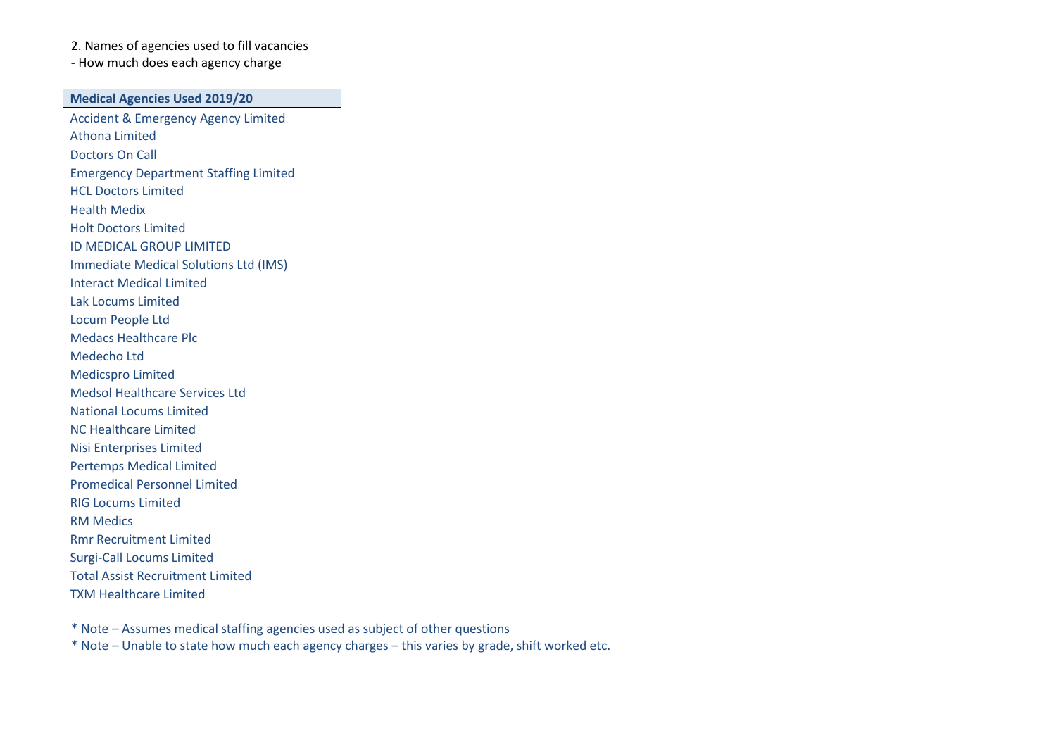2. Names of agencies used to fill vacancies - How much does each agency charge

**Medical Agencies Used 2019/20**

Accident & Emergency Agency Limited Athona Limited Doctors On Call Emergency Department Staffing Limited HCL Doctors Limited Health Medix Holt Doctors Limited ID MEDICAL GROUP LIMITED Immediate Medical Solutions Ltd (IMS) Interact Medical Limited Lak Locums Limited Locum People Ltd Medacs Healthcare Plc Medecho Ltd Medicspro Limited Medsol Healthcare Services Ltd National Locums Limited NC Healthcare Limited Nisi Enterprises Limited Pertemps Medical Limited Promedical Personnel Limited RIG Locums Limited RM Medics Rmr Recruitment Limited Surgi-Call Locums Limited Total Assist Recruitment Limited TXM Healthcare Limited

\* Note – Assumes medical staffing agencies used as subject of other questions

\* Note – Unable to state how much each agency charges – this varies by grade, shift worked etc.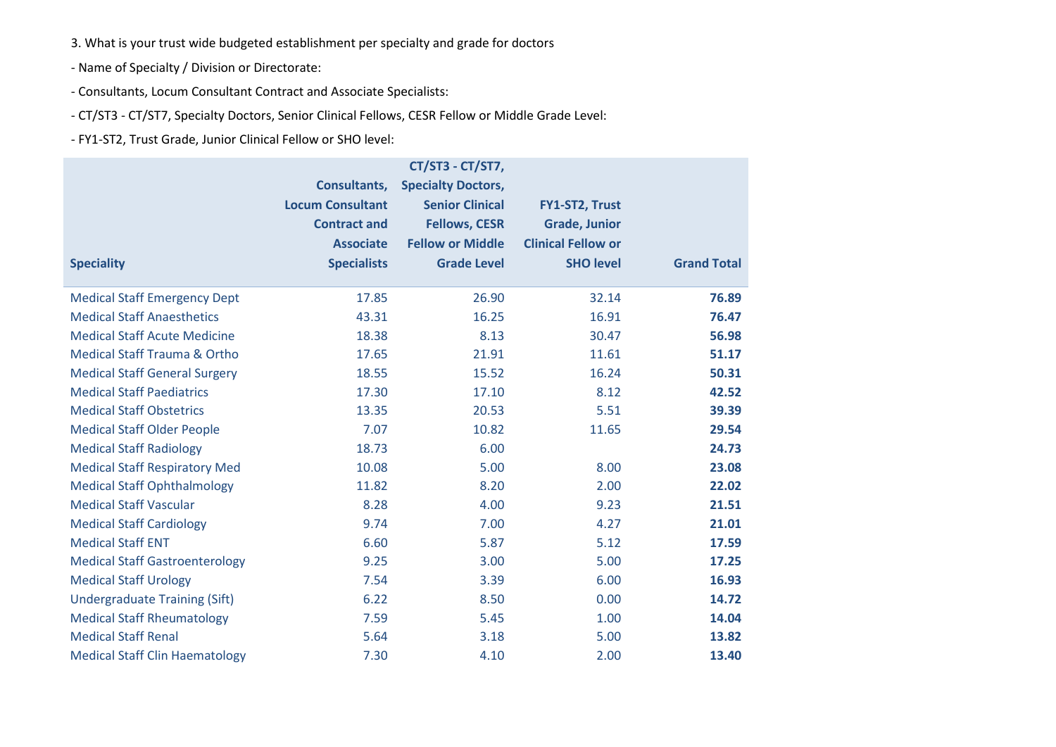3. What is your trust wide budgeted establishment per specialty and grade for doctors

- Name of Specialty / Division or Directorate:

- Consultants, Locum Consultant Contract and Associate Specialists:

- CT/ST3 - CT/ST7, Specialty Doctors, Senior Clinical Fellows, CESR Fellow or Middle Grade Level:

- FY1-ST2, Trust Grade, Junior Clinical Fellow or SHO level:

|                                         |                         | CT/ST3 - CT/ST7,          |                           |                    |
|-----------------------------------------|-------------------------|---------------------------|---------------------------|--------------------|
|                                         | Consultants,            | <b>Specialty Doctors,</b> |                           |                    |
|                                         | <b>Locum Consultant</b> | <b>Senior Clinical</b>    | FY1-ST2, Trust            |                    |
|                                         | <b>Contract and</b>     | <b>Fellows, CESR</b>      | <b>Grade, Junior</b>      |                    |
|                                         | <b>Associate</b>        | <b>Fellow or Middle</b>   | <b>Clinical Fellow or</b> |                    |
| <b>Speciality</b>                       | <b>Specialists</b>      | <b>Grade Level</b>        | <b>SHO level</b>          | <b>Grand Total</b> |
| <b>Medical Staff Emergency Dept</b>     | 17.85                   | 26.90                     | 32.14                     | 76.89              |
| <b>Medical Staff Anaesthetics</b>       | 43.31                   | 16.25                     | 16.91                     | 76.47              |
| <b>Medical Staff Acute Medicine</b>     | 18.38                   | 8.13                      | 30.47                     | 56.98              |
| <b>Medical Staff Trauma &amp; Ortho</b> | 17.65                   | 21.91                     | 11.61                     | 51.17              |
| <b>Medical Staff General Surgery</b>    | 18.55                   | 15.52                     | 16.24                     | 50.31              |
| <b>Medical Staff Paediatrics</b>        | 17.30                   | 17.10                     | 8.12                      | 42.52              |
| <b>Medical Staff Obstetrics</b>         | 13.35                   | 20.53                     | 5.51                      | 39.39              |
| <b>Medical Staff Older People</b>       | 7.07                    | 10.82                     | 11.65                     | 29.54              |
| <b>Medical Staff Radiology</b>          | 18.73                   | 6.00                      |                           | 24.73              |
| <b>Medical Staff Respiratory Med</b>    | 10.08                   | 5.00                      | 8.00                      | 23.08              |
| <b>Medical Staff Ophthalmology</b>      | 11.82                   | 8.20                      | 2.00                      | 22.02              |
| <b>Medical Staff Vascular</b>           | 8.28                    | 4.00                      | 9.23                      | 21.51              |
| <b>Medical Staff Cardiology</b>         | 9.74                    | 7.00                      | 4.27                      | 21.01              |
| <b>Medical Staff ENT</b>                | 6.60                    | 5.87                      | 5.12                      | 17.59              |
| <b>Medical Staff Gastroenterology</b>   | 9.25                    | 3.00                      | 5.00                      | 17.25              |
| <b>Medical Staff Urology</b>            | 7.54                    | 3.39                      | 6.00                      | 16.93              |
| <b>Undergraduate Training (Sift)</b>    | 6.22                    | 8.50                      | 0.00                      | 14.72              |
| <b>Medical Staff Rheumatology</b>       | 7.59                    | 5.45                      | 1.00                      | 14.04              |
| <b>Medical Staff Renal</b>              | 5.64                    | 3.18                      | 5.00                      | 13.82              |
| <b>Medical Staff Clin Haematology</b>   | 7.30                    | 4.10                      | 2.00                      | 13.40              |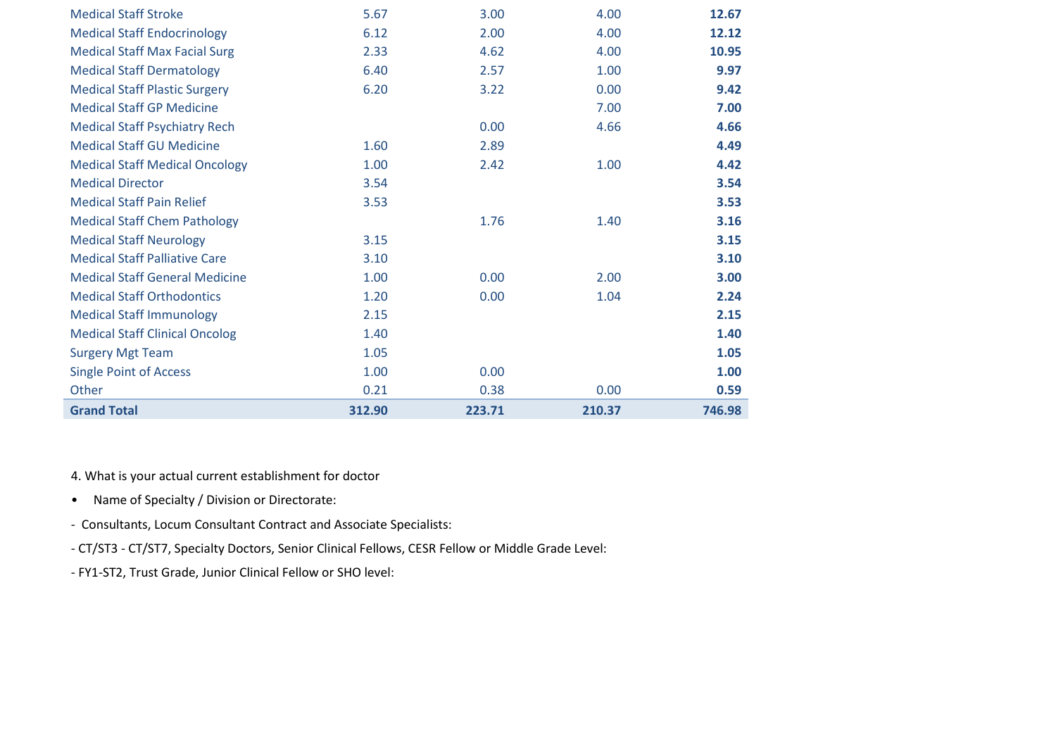| <b>Medical Staff Stroke</b>           | 5.67   | 3.00   | 4.00   | 12.67  |
|---------------------------------------|--------|--------|--------|--------|
|                                       |        |        |        |        |
| <b>Medical Staff Endocrinology</b>    | 6.12   | 2.00   | 4.00   | 12.12  |
| <b>Medical Staff Max Facial Surg</b>  | 2.33   | 4.62   | 4.00   | 10.95  |
| <b>Medical Staff Dermatology</b>      | 6.40   | 2.57   | 1.00   | 9.97   |
| <b>Medical Staff Plastic Surgery</b>  | 6.20   | 3.22   | 0.00   | 9.42   |
| <b>Medical Staff GP Medicine</b>      |        |        | 7.00   | 7.00   |
| <b>Medical Staff Psychiatry Rech</b>  |        | 0.00   | 4.66   | 4.66   |
| <b>Medical Staff GU Medicine</b>      | 1.60   | 2.89   |        | 4.49   |
| <b>Medical Staff Medical Oncology</b> | 1.00   | 2.42   | 1.00   | 4.42   |
| <b>Medical Director</b>               | 3.54   |        |        | 3.54   |
| <b>Medical Staff Pain Relief</b>      | 3.53   |        |        | 3.53   |
| <b>Medical Staff Chem Pathology</b>   |        | 1.76   | 1.40   | 3.16   |
| <b>Medical Staff Neurology</b>        | 3.15   |        |        | 3.15   |
| <b>Medical Staff Palliative Care</b>  | 3.10   |        |        | 3.10   |
| <b>Medical Staff General Medicine</b> | 1.00   | 0.00   | 2.00   | 3.00   |
| <b>Medical Staff Orthodontics</b>     | 1.20   | 0.00   | 1.04   | 2.24   |
| <b>Medical Staff Immunology</b>       | 2.15   |        |        | 2.15   |
| <b>Medical Staff Clinical Oncolog</b> | 1.40   |        |        | 1.40   |
| <b>Surgery Mgt Team</b>               | 1.05   |        |        | 1.05   |
| <b>Single Point of Access</b>         | 1.00   | 0.00   |        | 1.00   |
| Other                                 | 0.21   | 0.38   | 0.00   | 0.59   |
| <b>Grand Total</b>                    | 312.90 | 223.71 | 210.37 | 746.98 |

4. What is your actual current establishment for doctor

- Name of Specialty / Division or Directorate:
- Consultants, Locum Consultant Contract and Associate Specialists:
- CT/ST3 CT/ST7, Specialty Doctors, Senior Clinical Fellows, CESR Fellow or Middle Grade Level:
- FY1-ST2, Trust Grade, Junior Clinical Fellow or SHO level: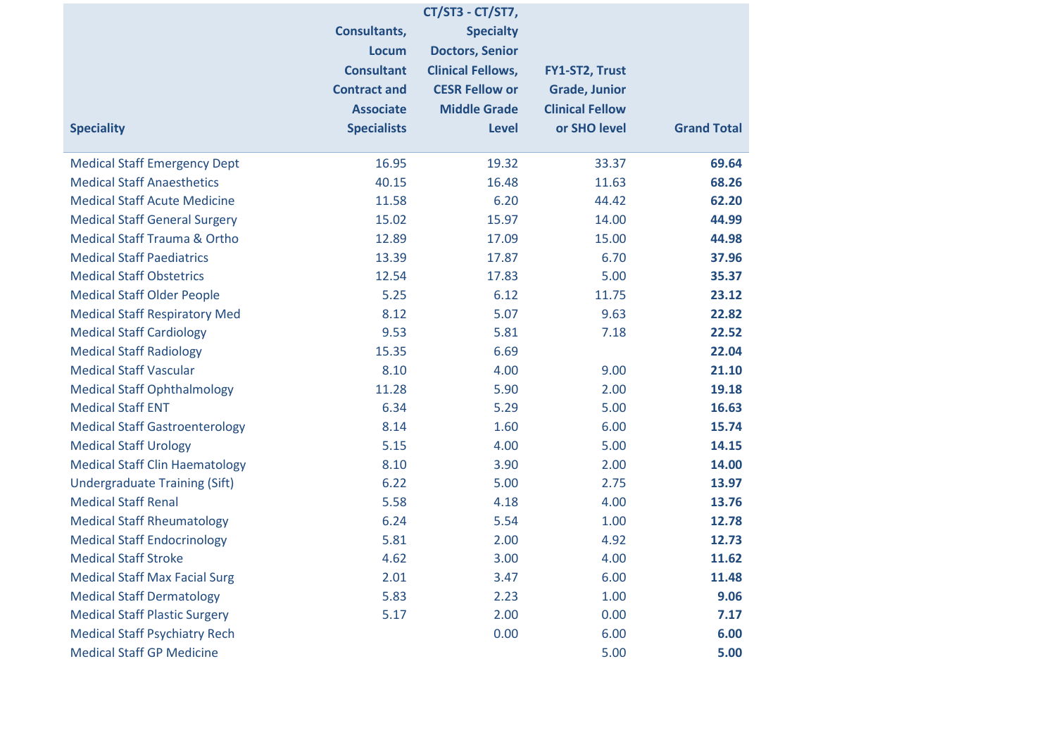|                                         |                     | CT/ST3 - CT/ST7,         |                        |                    |
|-----------------------------------------|---------------------|--------------------------|------------------------|--------------------|
|                                         | Consultants,        | <b>Specialty</b>         |                        |                    |
|                                         | <b>Locum</b>        | <b>Doctors, Senior</b>   |                        |                    |
|                                         | <b>Consultant</b>   | <b>Clinical Fellows,</b> | FY1-ST2, Trust         |                    |
|                                         | <b>Contract and</b> | <b>CESR Fellow or</b>    | <b>Grade, Junior</b>   |                    |
|                                         | <b>Associate</b>    | <b>Middle Grade</b>      | <b>Clinical Fellow</b> |                    |
| <b>Speciality</b>                       | <b>Specialists</b>  | <b>Level</b>             | or SHO level           | <b>Grand Total</b> |
| <b>Medical Staff Emergency Dept</b>     | 16.95               | 19.32                    | 33.37                  | 69.64              |
| <b>Medical Staff Anaesthetics</b>       | 40.15               | 16.48                    | 11.63                  | 68.26              |
| <b>Medical Staff Acute Medicine</b>     | 11.58               | 6.20                     | 44.42                  | 62.20              |
| <b>Medical Staff General Surgery</b>    | 15.02               | 15.97                    | 14.00                  | 44.99              |
| <b>Medical Staff Trauma &amp; Ortho</b> | 12.89               | 17.09                    | 15.00                  | 44.98              |
| <b>Medical Staff Paediatrics</b>        | 13.39               | 17.87                    | 6.70                   | 37.96              |
| <b>Medical Staff Obstetrics</b>         | 12.54               | 17.83                    | 5.00                   | 35.37              |
| <b>Medical Staff Older People</b>       | 5.25                | 6.12                     | 11.75                  | 23.12              |
| <b>Medical Staff Respiratory Med</b>    | 8.12                | 5.07                     | 9.63                   | 22.82              |
| <b>Medical Staff Cardiology</b>         | 9.53                | 5.81                     | 7.18                   | 22.52              |
| <b>Medical Staff Radiology</b>          | 15.35               | 6.69                     |                        | 22.04              |
| <b>Medical Staff Vascular</b>           | 8.10                | 4.00                     | 9.00                   | 21.10              |
| <b>Medical Staff Ophthalmology</b>      | 11.28               | 5.90                     | 2.00                   | 19.18              |
| <b>Medical Staff ENT</b>                | 6.34                | 5.29                     | 5.00                   | 16.63              |
| <b>Medical Staff Gastroenterology</b>   | 8.14                | 1.60                     | 6.00                   | 15.74              |
| <b>Medical Staff Urology</b>            | 5.15                | 4.00                     | 5.00                   | 14.15              |
| <b>Medical Staff Clin Haematology</b>   | 8.10                | 3.90                     | 2.00                   | 14.00              |
| <b>Undergraduate Training (Sift)</b>    | 6.22                | 5.00                     | 2.75                   | 13.97              |
| <b>Medical Staff Renal</b>              | 5.58                | 4.18                     | 4.00                   | 13.76              |
| <b>Medical Staff Rheumatology</b>       | 6.24                | 5.54                     | 1.00                   | 12.78              |
| <b>Medical Staff Endocrinology</b>      | 5.81                | 2.00                     | 4.92                   | 12.73              |
| <b>Medical Staff Stroke</b>             | 4.62                | 3.00                     | 4.00                   | 11.62              |
| <b>Medical Staff Max Facial Surg</b>    | 2.01                | 3.47                     | 6.00                   | 11.48              |
| <b>Medical Staff Dermatology</b>        | 5.83                | 2.23                     | 1.00                   | 9.06               |
| <b>Medical Staff Plastic Surgery</b>    | 5.17                | 2.00                     | 0.00                   | 7.17               |
| <b>Medical Staff Psychiatry Rech</b>    |                     | 0.00                     | 6.00                   | 6.00               |
| <b>Medical Staff GP Medicine</b>        |                     |                          | 5.00                   | 5.00               |
|                                         |                     |                          |                        |                    |